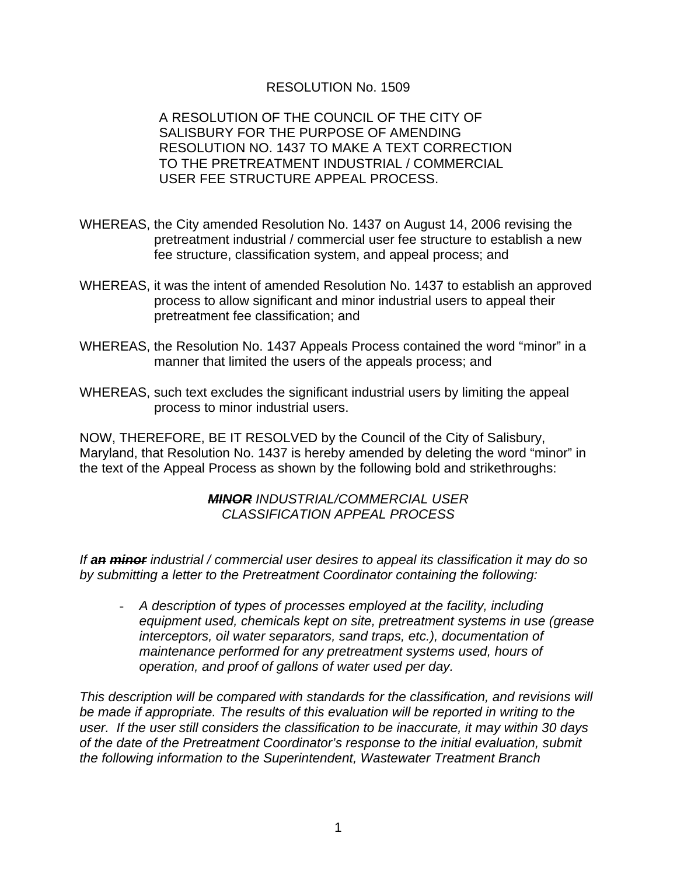## RESOLUTION No. 1509

A RESOLUTION OF THE COUNCIL OF THE CITY OF SALISBURY FOR THE PURPOSE OF AMENDING RESOLUTION NO. 1437 TO MAKE A TEXT CORRECTION TO THE PRETREATMENT INDUSTRIAL / COMMERCIAL USER FEE STRUCTURE APPEAL PROCESS.

- WHEREAS, the City amended Resolution No. 1437 on August 14, 2006 revising the pretreatment industrial / commercial user fee structure to establish a new fee structure, classification system, and appeal process; and
- WHEREAS, it was the intent of amended Resolution No. 1437 to establish an approved process to allow significant and minor industrial users to appeal their pretreatment fee classification; and
- WHEREAS, the Resolution No. 1437 Appeals Process contained the word "minor" in a manner that limited the users of the appeals process; and
- WHEREAS, such text excludes the significant industrial users by limiting the appeal process to minor industrial users.

NOW, THEREFORE, BE IT RESOLVED by the Council of the City of Salisbury, Maryland, that Resolution No. 1437 is hereby amended by deleting the word "minor" in the text of the Appeal Process as shown by the following bold and strikethroughs:

## *MINOR INDUSTRIAL/COMMERCIAL USER CLASSIFICATION APPEAL PROCESS*

*If an minor industrial / commercial user desires to appeal its classification it may do so by submitting a letter to the Pretreatment Coordinator containing the following:* 

- *A description of types of processes employed at the facility, including equipment used, chemicals kept on site, pretreatment systems in use (grease interceptors, oil water separators, sand traps, etc.), documentation of maintenance performed for any pretreatment systems used, hours of operation, and proof of gallons of water used per day.* 

*This description will be compared with standards for the classification, and revisions will be made if appropriate. The results of this evaluation will be reported in writing to the user. If the user still considers the classification to be inaccurate, it may within 30 days of the date of the Pretreatment Coordinator's response to the initial evaluation, submit the following information to the Superintendent, Wastewater Treatment Branch*